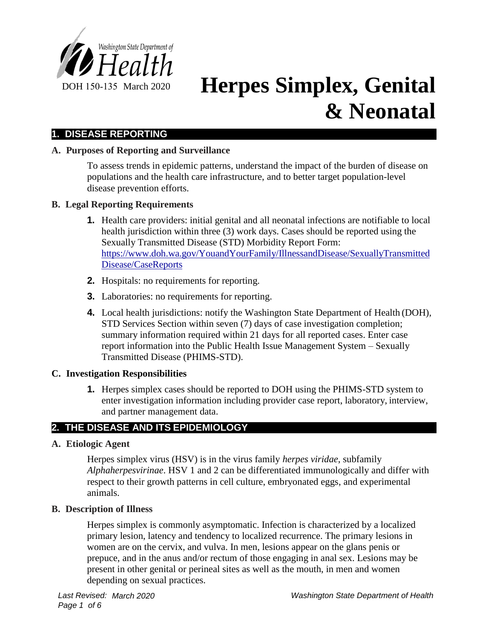

# DOH 150-135 March 2020 **Herpes Simplex, Genital & Neonatal**

# **1. DISEASE REPORTING**

## **A. Purposes of Reporting and Surveillance**

To assess trends in epidemic patterns, understand the impact of the burden of disease on populations and the health care infrastructure, and to better target population-level disease prevention efforts.

## **B. Legal Reporting Requirements**

- **1.** Health care providers: initial genital and all neonatal infections are notifiable to local health jurisdiction within three (3) work days. Cases should be reported using the Sexually Transmitted Disease (STD) Morbidity Report Form: https://www.doh.wa.gov/YouandYourFamily/IllnessandDisease/SexuallyTransmitted Disease/CaseReports
- **2.** Hospitals: no requirements for reporting.
- **3.** Laboratories: no requirements for reporting.
- **4.** Local health jurisdictions: notify the Washington State Department of Health (DOH), STD Services Section within seven (7) days of case investigation completion; summary information required within 21 days for all reported cases. Enter case report information into the Public Health Issue Management System – Sexually Transmitted Disease (PHIMS-STD).

## **C. Investigation Responsibilities**

**1.** Herpes simplex cases should be reported to DOH using the PHIMS-STD system to enter investigation information including provider case report, laboratory, interview, and partner management data.

# **2. THE DISEASE AND ITS EPIDEMIOLOGY**

## **A. Etiologic Agent**

Herpes simplex virus (HSV) is in the virus family *herpes viridae*, subfamily *Alphaherpesvirinae*. HSV 1 and 2 can be differentiated immunologically and differ with respect to their growth patterns in cell culture, embryonated eggs, and experimental animals.

## **B. Description of Illness**

Herpes simplex is commonly asymptomatic. Infection is characterized by a localized primary lesion, latency and tendency to localized recurrence. The primary lesions in women are on the cervix, and vulva. In men, lesions appear on the glans penis or prepuce, and in the anus and/or rectum of those engaging in anal sex. Lesions may be present in other genital or perineal sites as well as the mouth, in men and women depending on sexual practices.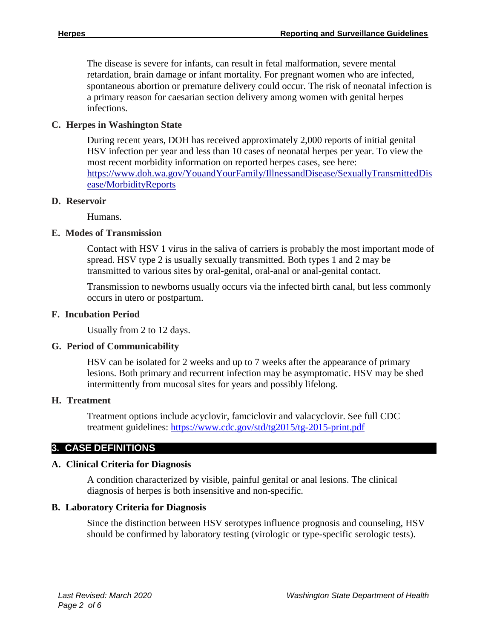The disease is severe for infants, can result in fetal malformation, severe mental retardation, brain damage or infant mortality. For pregnant women who are infected, spontaneous abortion or premature delivery could occur. The risk of neonatal infection is a primary reason for caesarian section delivery among women with genital herpes infections.

## **C. Herpes in Washington State**

During recent years, DOH has received approximately 2,000 reports of initial genital HSV infection per year and less than 10 cases of neonatal herpes per year. To view the most recent morbidity information on reported herpes cases, see here: https://www.doh.wa.gov/YouandYourFamily/IllnessandDisease/SexuallyTransmittedDis ease/MorbidityReports

## **D. Reservoir**

Humans.

## **E. Modes of Transmission**

Contact with HSV 1 virus in the saliva of carriers is probably the most important mode of spread. HSV type 2 is usually sexually transmitted. Both types 1 and 2 may be transmitted to various sites by oral-genital, oral-anal or anal-genital contact.

Transmission to newborns usually occurs via the infected birth canal, but less commonly occurs in utero or postpartum.

#### **F. Incubation Period**

Usually from 2 to 12 days.

## **G. Period of Communicability**

HSV can be isolated for 2 weeks and up to 7 weeks after the appearance of primary lesions. Both primary and recurrent infection may be asymptomatic. HSV may be shed intermittently from mucosal sites for years and possibly lifelong.

## **H. Treatment**

Treatment options include acyclovir, famciclovir and valacyclovir. See full CDC treatment guidelines:<https://www.cdc.gov/std/tg2015/tg-2015-print.pdf>

# **3. CASE DEFINITIONS**

## **A. Clinical Criteria for Diagnosis**

A condition characterized by visible, painful genital or anal lesions. The clinical diagnosis of herpes is both insensitive and non-specific.

## **B. Laboratory Criteria for Diagnosis**

Since the distinction between HSV serotypes influence prognosis and counseling, HSV should be confirmed by laboratory testing (virologic or type-specific serologic tests).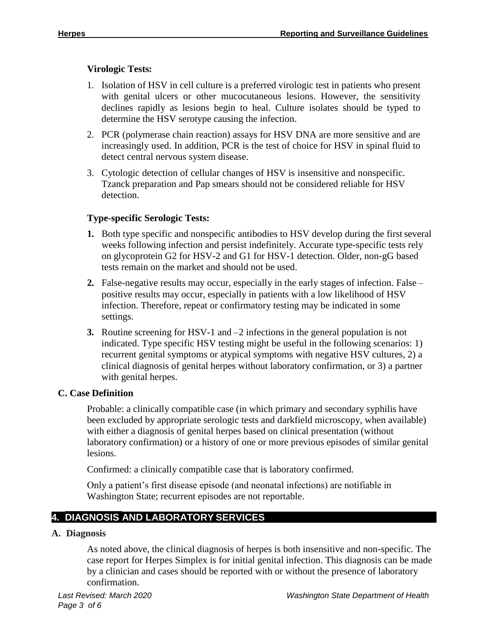## **Virologic Tests:**

- 1. Isolation of HSV in cell culture is a preferred virologic test in patients who present with genital ulcers or other mucocutaneous lesions. However, the sensitivity declines rapidly as lesions begin to heal. Culture isolates should be typed to determine the HSV serotype causing the infection.
- 2. PCR (polymerase chain reaction) assays for HSV DNA are more sensitive and are increasingly used. In addition, PCR is the test of choice for HSV in spinal fluid to detect central nervous system disease.
- 3. Cytologic detection of cellular changes of HSV is insensitive and nonspecific. Tzanck preparation and Pap smears should not be considered reliable for HSV detection.

## **Type-specific Serologic Tests:**

- **1.** Both type specific and nonspecific antibodies to HSV develop during the first several weeks following infection and persist indefinitely. Accurate type-specific tests rely on glycoprotein G2 for HSV-2 and G1 for HSV-1 detection. Older, non-gG based tests remain on the market and should not be used.
- **2.** False-negative results may occur, especially in the early stages of infection. False positive results may occur, especially in patients with a low likelihood of HSV infection. Therefore, repeat or confirmatory testing may be indicated in some settings.
- **3.** Routine screening for HSV-1 and –2 infections in the general population is not indicated. Type specific HSV testing might be useful in the following scenarios: 1) recurrent genital symptoms or atypical symptoms with negative HSV cultures, 2) a clinical diagnosis of genital herpes without laboratory confirmation, or 3) a partner with genital herpes.

# **C. Case Definition**

Probable: a clinically compatible case (in which primary and secondary syphilis have been excluded by appropriate serologic tests and darkfield microscopy, when available) with either a diagnosis of genital herpes based on clinical presentation (without laboratory confirmation) or a history of one or more previous episodes of similar genital lesions.

Confirmed: a clinically compatible case that is laboratory confirmed.

Only a patient's first disease episode (and neonatal infections) are notifiable in Washington State; recurrent episodes are not reportable.

# **4. DIAGNOSIS AND LABORATORY SERVICES**

## **A. Diagnosis**

As noted above, the clinical diagnosis of herpes is both insensitive and non-specific. The case report for Herpes Simplex is for initial genital infection. This diagnosis can be made by a clinician and cases should be reported with or without the presence of laboratory confirmation.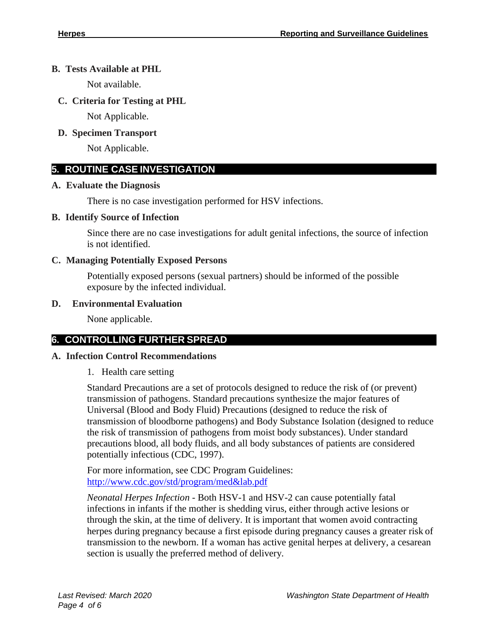## **B. Tests Available at PHL**

Not available.

# **C. Criteria for Testing at PHL**

Not Applicable.

# **D. Specimen Transport**

Not Applicable.

# **5. ROUTINE CASE INVESTIGATION**

## **A. Evaluate the Diagnosis**

There is no case investigation performed for HSV infections.

## **B. Identify Source of Infection**

Since there are no case investigations for adult genital infections, the source of infection is not identified.

# **C. Managing Potentially Exposed Persons**

Potentially exposed persons (sexual partners) should be informed of the possible exposure by the infected individual.

## **D. Environmental Evaluation**

None applicable.

# **6. CONTROLLING FURTHER SPREAD**

# **A. Infection Control Recommendations**

1. Health care setting

Standard Precautions are a set of protocols designed to reduce the risk of (or prevent) transmission of pathogens. Standard precautions synthesize the major features of Universal (Blood and Body Fluid) Precautions (designed to reduce the risk of transmission of bloodborne pathogens) and Body Substance Isolation (designed to reduce the risk of transmission of pathogens from moist body substances). Under standard precautions blood, all body fluids, and all body substances of patients are considered potentially infectious (CDC, 1997).

For more information, see CDC Program Guidelines: [http://www.cdc.gov/std/program/med&lab.pdf](http://www.cdc.gov/std/program/med%26lab.pdf)

*Neonatal Herpes Infection -* Both HSV-1 and HSV-2 can cause potentially fatal infections in infants if the mother is shedding virus, either through active lesions or through the skin, at the time of delivery. It is important that women avoid contracting herpes during pregnancy because a first episode during pregnancy causes a greater risk of transmission to the newborn. If a woman has active genital herpes at delivery, a cesarean section is usually the preferred method of delivery.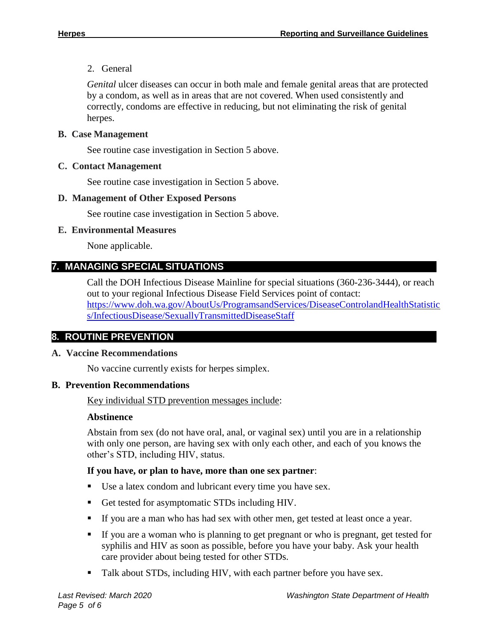## 2. General

*Genital* ulcer diseases can occur in both male and female genital areas that are protected by a condom, as well as in areas that are not covered. When used consistently and correctly, condoms are effective in reducing, but not eliminating the risk of genital herpes.

## **B. Case Management**

See routine case investigation in Section 5 above.

## **C. Contact Management**

See routine case investigation in Section 5 above.

#### **D. Management of Other Exposed Persons**

See routine case investigation in Section 5 above.

## **E. Environmental Measures**

None applicable.

# **7. MANAGING SPECIAL SITUATIONS**

Call the DOH Infectious Disease Mainline for special situations (360-236-3444), or reach out to your regional Infectious Disease Field Services point of contact: [https://www.doh.wa.gov/AboutUs/ProgramsandServices/DiseaseControlandHealthStatistic](https://www.doh.wa.gov/AboutUs/ProgramsandServices/DiseaseControlandHealthStatistics/InfectiousDisease/SexuallyTransmittedDiseaseStaff) [s/InfectiousDisease/SexuallyTransmittedDiseaseStaff](https://www.doh.wa.gov/AboutUs/ProgramsandServices/DiseaseControlandHealthStatistics/InfectiousDisease/SexuallyTransmittedDiseaseStaff)

# **8. ROUTINE PREVENTION**

## **A. Vaccine Recommendations**

No vaccine currently exists for herpes simplex.

## **B. Prevention Recommendations**

Key individual STD prevention messages include:

## **Abstinence**

Abstain from sex (do not have oral, anal, or vaginal sex) until you are in a relationship with only one person, are having sex with only each other, and each of you knows the other's STD, including HIV, status.

## **If you have, or plan to have, more than one sex partner**:

- Use a latex condom and lubricant every time you have sex.
- Get tested for asymptomatic STDs including HIV.
- If you are a man who has had sex with other men, get tested at least once a year.
- If you are a woman who is planning to get pregnant or who is pregnant, get tested for syphilis and HIV as soon as possible, before you have your baby. Ask your health care provider about being tested for other STDs.
- Talk about STDs, including HIV, with each partner before you have sex.